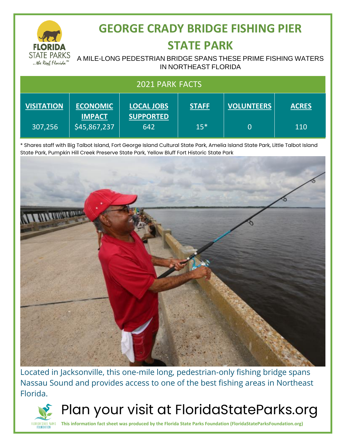

# **GEORGE CRADY BRIDGE FISHING PIER**

#### **STATE PARK**

#### A MILE-LONG PEDESTRIAN BRIDGE SPANS THESE PRIME FISHING WATERS IN NORTHEAST FLORIDA

| <b>2021 PARK FACTS</b> |                                  |                                       |              |                   |              |
|------------------------|----------------------------------|---------------------------------------|--------------|-------------------|--------------|
| <b>VISITATION</b>      | <b>ECONOMIC</b><br><b>IMPACT</b> | <b>LOCAL JOBS</b><br><b>SUPPORTED</b> | <b>STAFF</b> | <b>VOLUNTEERS</b> | <b>ACRES</b> |
| 307,256                | \$45,867,237                     | 642                                   | $15*$        | $\overline{0}$    | 110          |

\* Shares staff with Big Talbot Island, Fort George Island Cultural State Park, Amelia Island State Park, Little Talbot Island State Park, Pumpkin Hill Creek Preserve State Park, Yellow Bluff Fort Historic State Park



Located in Jacksonville, this one-mile long, pedestrian-only fishing bridge spans Nassau Sound and provides access to one of the best fishing areas in Northeast Florida.



Plan your visit at FloridaStateParks.org

**This information fact sheet was produced by the Florida State Parks Foundation (FloridaStateParksFoundation.org)**